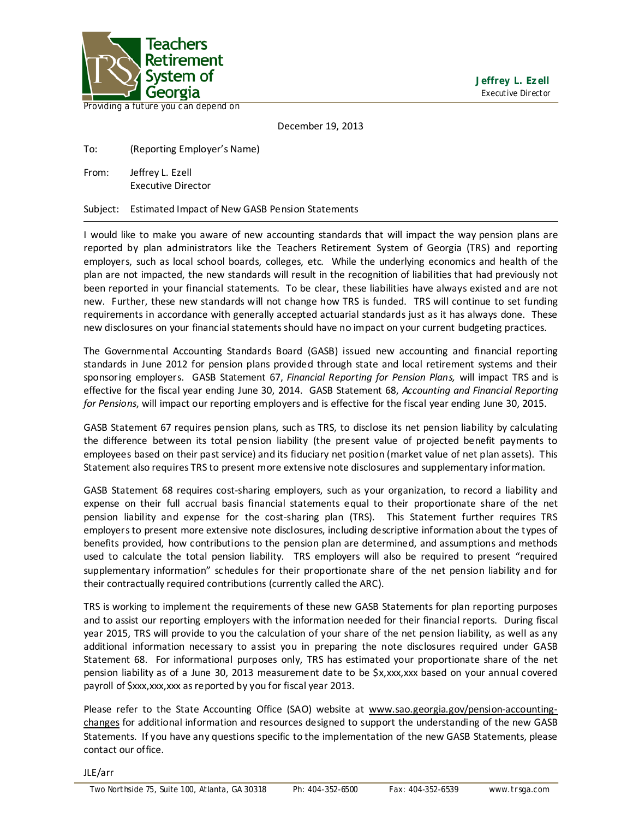

Providing a future you can depend on

December 19, 2013

To: (Reporting Employer's Name)

From: Jeffrey L. Ezell Executive Director

Subject: Estimated Impact of New GASB Pension Statements

I would like to make you aware of new accounting standards that will impact the way pension plans are reported by plan administrators like the Teachers Retirement System of Georgia (TRS) and reporting employers, such as local school boards, colleges, etc. While the underlying economics and health of the plan are not impacted, the new standards will result in the recognition of liabilities that had previously not been reported in your financial statements. To be clear, these liabilities have always existed and are not new. Further, these new standards will not change how TRS is funded. TRS will continue to set funding requirements in accordance with generally accepted actuarial standards just as it has always done. These new disclosures on your financial statements should have no impact on your current budgeting practices.

The Governmental Accounting Standards Board (GASB) issued new accounting and financial reporting standards in June 2012 for pension plans provided through state and local retirement systems and their sponsoring employers. GASB Statement 67, *Financial Reporting for Pension Plans,* will impact TRS and is effective for the fiscal year ending June 30, 2014. GASB Statement 68, *Accounting and Financial Reporting for Pensions*, will impact our reporting employers and is effective for the fiscal year ending June 30, 2015.

GASB Statement 67 requires pension plans, such as TRS, to disclose its net pension liability by calculating the difference between its total pension liability (the present value of projected benefit payments to employees based on their past service) and its fiduciary net position (market value of net plan assets). This Statement also requires TRS to present more extensive note disclosures and supplementary information.

GASB Statement 68 requires cost-sharing employers, such as your organization, to record a liability and expense on their full accrual basis financial statements equal to their proportionate share of the net pension liability and expense for the cost-sharing plan (TRS). This Statement further requires TRS employers to present more extensive note disclosures, including descriptive information about the types of benefits provided, how contributions to the pension plan are determined, and assumptions and methods used to calculate the total pension liability. TRS employers will also be required to present "required supplementary information" schedules for their proportionate share of the net pension liability and for their contractually required contributions (currently called the ARC).

TRS is working to implement the requirements of these new GASB Statements for plan reporting purposes and to assist our reporting employers with the information needed for their financial reports. During fiscal year 2015, TRS will provide to you the calculation of your share of the net pension liability, as well as any additional information necessary to assist you in preparing the note disclosures required under GASB Statement 68. For informational purposes only, TRS has estimated your proportionate share of the net pension liability as of a June 30, 2013 measurement date to be \$x,xxx,xxx based on your annual covered payroll of \$xxx, xxx, xxx as reported by you for fiscal year 2013.

Please refer to the State Accounting Office (SAO) website at [www.sao.georgia.gov/pension-accounting](http://www.sao.georgia.gov/pension-accounting-changes)[changes](http://www.sao.georgia.gov/pension-accounting-changes) for additional information and resources designed to support the understanding of the new GASB Statements. If you have any questions specific to the implementation of the new GASB Statements, please contact our office.

JLE/arr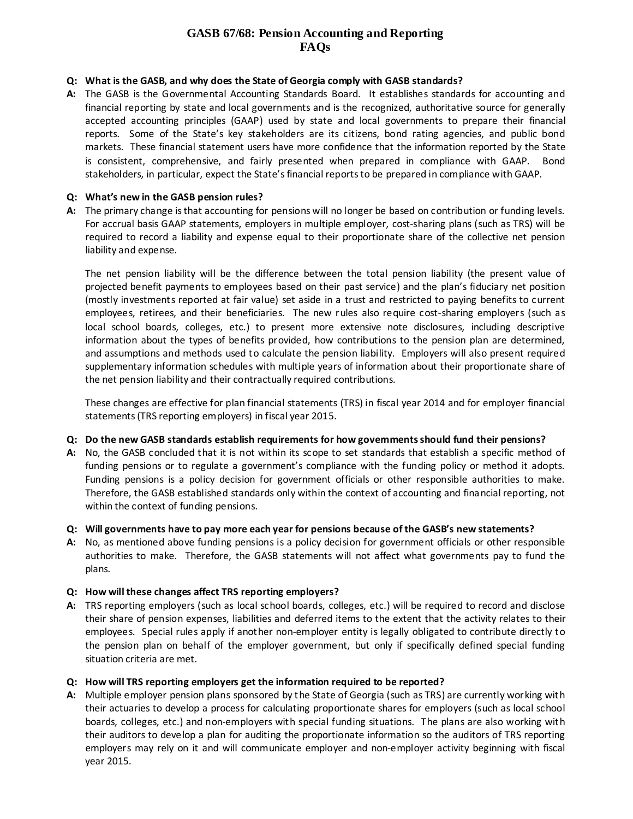# **GASB 67/68: Pension Accounting and Reporting FAQs**

### **Q: What is the GASB, and why does the State of Georgia comply with GASB standards?**

**A:** The GASB is the Governmental Accounting Standards Board. It establishes standards for accounting and financial reporting by state and local governments and is the recognized, authoritative source for generally accepted accounting principles (GAAP) used by state and local governments to prepare their financial reports. Some of the State's key stakeholders are its citizens, bond rating agencies, and public bond markets. These financial statement users have more confidence that the information reported by the State is consistent, comprehensive, and fairly presented when prepared in compliance with GAAP. Bond stakeholders, in particular, expect the State's financial reports to be prepared in compliance with GAAP.

### **Q: What's new in the GASB pension rules?**

**A:** The primary change is that accounting for pensions will no longer be based on contribution or funding levels. For accrual basis GAAP statements, employers in multiple employer, cost-sharing plans (such as TRS) will be required to record a liability and expense equal to their proportionate share of the collective net pension liability and expense.

The net pension liability will be the difference between the total pension liability (the present value of projected benefit payments to employees based on their past service) and the plan's fiduciary net position (mostly investments reported at fair value) set aside in a trust and restricted to paying benefits to current employees, retirees, and their beneficiaries. The new rules also require cost-sharing employers (such as local school boards, colleges, etc.) to present more extensive note disclosures, including descriptive information about the types of benefits provided, how contributions to the pension plan are determined, and assumptions and methods used to calculate the pension liability. Employers will also present required supplementary information schedules with multiple years of information about their proportionate share of the net pension liability and their contractually required contributions.

These changes are effective for plan financial statements (TRS) in fiscal year 2014 and for employer financial statements (TRS reporting employers) in fiscal year 2015.

### **Q: Do the new GASB standards establish requirements for how governments should fund their pensions?**

**A:** No, the GASB concluded that it is not within its scope to set standards that establish a specific method of funding pensions or to regulate a government's compliance with the funding policy or method it adopts. Funding pensions is a policy decision for government officials or other responsible authorities to make. Therefore, the GASB established standards only within the context of accounting and financial reporting, not within the context of funding pensions.

### **Q: Will governments have to pay more each year for pensions because of the GASB's new statements?**

**A:** No, as mentioned above funding pensions is a policy decision for government officials or other responsible authorities to make. Therefore, the GASB statements will not affect what governments pay to fund the plans.

### **Q: How will these changes affect TRS reporting employers?**

**A:** TRS reporting employers (such as local school boards, colleges, etc.) will be required to record and disclose their share of pension expenses, liabilities and deferred items to the extent that the activity relates to their employees. Special rules apply if another non-employer entity is legally obligated to contribute directly to the pension plan on behalf of the employer government, but only if specifically defined special funding situation criteria are met.

### **Q: How will TRS reporting employers get the information required to be reported?**

**A:** Multiple employer pension plans sponsored by the State of Georgia (such as TRS) are currently working with their actuaries to develop a process for calculating proportionate shares for employers (such as local school boards, colleges, etc.) and non-employers with special funding situations. The plans are also working with their auditors to develop a plan for auditing the proportionate information so the auditors of TRS reporting employers may rely on it and will communicate employer and non-employer activity beginning with fiscal year 2015.